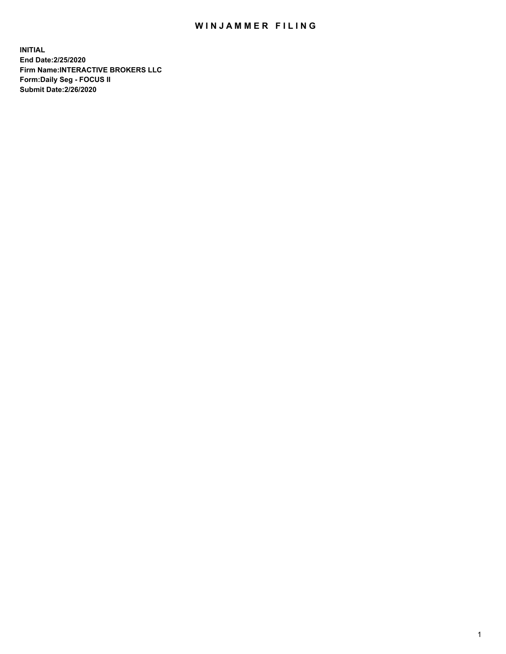## WIN JAMMER FILING

**INITIAL End Date:2/25/2020 Firm Name:INTERACTIVE BROKERS LLC Form:Daily Seg - FOCUS II Submit Date:2/26/2020**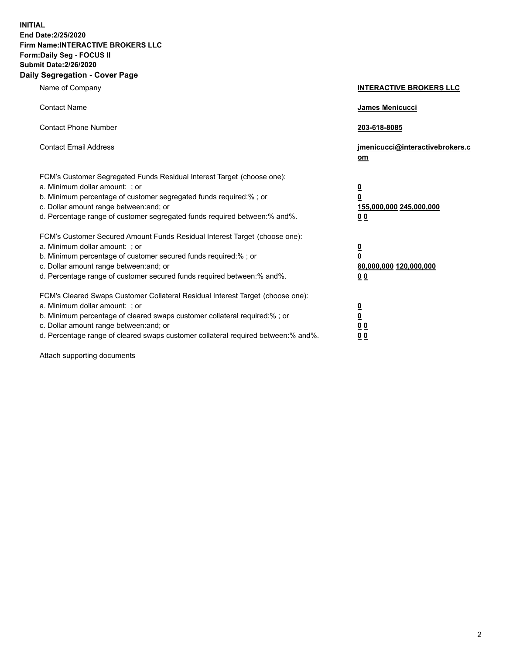**INITIAL End Date:2/25/2020 Firm Name:INTERACTIVE BROKERS LLC Form:Daily Seg - FOCUS II Submit Date:2/26/2020 Daily Segregation - Cover Page**

| Name of Company                                                                                                                                                                                                                                                                                                               | <b>INTERACTIVE BROKERS LLC</b>                                                                  |
|-------------------------------------------------------------------------------------------------------------------------------------------------------------------------------------------------------------------------------------------------------------------------------------------------------------------------------|-------------------------------------------------------------------------------------------------|
| <b>Contact Name</b>                                                                                                                                                                                                                                                                                                           | James Menicucci                                                                                 |
| <b>Contact Phone Number</b>                                                                                                                                                                                                                                                                                                   | 203-618-8085                                                                                    |
| <b>Contact Email Address</b>                                                                                                                                                                                                                                                                                                  | jmenicucci@interactivebrokers.c<br><u>om</u>                                                    |
| FCM's Customer Segregated Funds Residual Interest Target (choose one):<br>a. Minimum dollar amount: ; or<br>b. Minimum percentage of customer segregated funds required:% ; or<br>c. Dollar amount range between: and; or<br>d. Percentage range of customer segregated funds required between:% and%.                        | $\overline{\mathbf{0}}$<br>$\overline{\mathbf{0}}$<br>155,000,000 245,000,000<br>0 <sub>0</sub> |
| FCM's Customer Secured Amount Funds Residual Interest Target (choose one):<br>a. Minimum dollar amount: ; or<br>b. Minimum percentage of customer secured funds required:%; or<br>c. Dollar amount range between: and; or<br>d. Percentage range of customer secured funds required between:% and%.                           | $\overline{\mathbf{0}}$<br>$\overline{\mathbf{0}}$<br>80,000,000 120,000,000<br>0 <sub>0</sub>  |
| FCM's Cleared Swaps Customer Collateral Residual Interest Target (choose one):<br>a. Minimum dollar amount: ; or<br>b. Minimum percentage of cleared swaps customer collateral required:%; or<br>c. Dollar amount range between: and; or<br>d. Percentage range of cleared swaps customer collateral required between:% and%. | $\overline{\mathbf{0}}$<br>$\overline{\mathbf{0}}$<br>0 <sub>0</sub><br>0 <sub>0</sub>          |

Attach supporting documents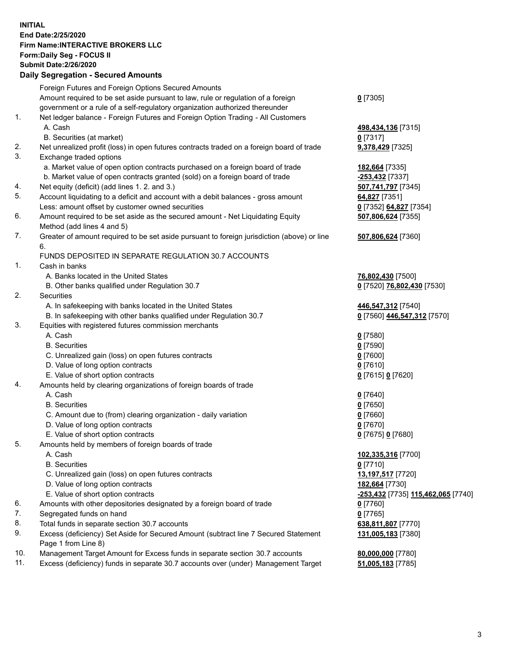**INITIAL End Date:2/25/2020 Firm Name:INTERACTIVE BROKERS LLC Form:Daily Seg - FOCUS II Submit Date:2/26/2020 Daily Segregation - Secured Amounts**

|     | Foreign Futures and Foreign Options Secured Amounts                                                        |                                    |
|-----|------------------------------------------------------------------------------------------------------------|------------------------------------|
|     | Amount required to be set aside pursuant to law, rule or regulation of a foreign                           | $0$ [7305]                         |
|     | government or a rule of a self-regulatory organization authorized thereunder                               |                                    |
| 1.  | Net ledger balance - Foreign Futures and Foreign Option Trading - All Customers                            |                                    |
|     | A. Cash                                                                                                    | 498,434,136 [7315]                 |
|     | B. Securities (at market)                                                                                  | $0$ [7317]                         |
| 2.  | Net unrealized profit (loss) in open futures contracts traded on a foreign board of trade                  | 9,378,429 [7325]                   |
| 3.  | Exchange traded options                                                                                    |                                    |
|     | a. Market value of open option contracts purchased on a foreign board of trade                             | 182,664 [7335]                     |
|     | b. Market value of open contracts granted (sold) on a foreign board of trade                               | -253,432 <sup>[7337]</sup>         |
| 4.  | Net equity (deficit) (add lines 1. 2. and 3.)                                                              | 507,741,797 [7345]                 |
| 5.  | Account liquidating to a deficit and account with a debit balances - gross amount                          | 64,827 [7351]                      |
|     | Less: amount offset by customer owned securities                                                           | 0 [7352] 64,827 [7354]             |
| 6.  | Amount required to be set aside as the secured amount - Net Liquidating Equity                             | 507,806,624 [7355]                 |
|     | Method (add lines 4 and 5)                                                                                 |                                    |
| 7.  | Greater of amount required to be set aside pursuant to foreign jurisdiction (above) or line                | 507,806,624 [7360]                 |
|     | 6.                                                                                                         |                                    |
|     | FUNDS DEPOSITED IN SEPARATE REGULATION 30.7 ACCOUNTS                                                       |                                    |
| 1.  | Cash in banks                                                                                              |                                    |
|     | A. Banks located in the United States                                                                      | 76,802,430 [7500]                  |
|     | B. Other banks qualified under Regulation 30.7                                                             | 0 [7520] 76,802,430 [7530]         |
| 2.  | Securities                                                                                                 |                                    |
|     | A. In safekeeping with banks located in the United States                                                  | 446,547,312 [7540]                 |
|     | B. In safekeeping with other banks qualified under Regulation 30.7                                         | 0 [7560] 446,547,312 [7570]        |
| 3.  | Equities with registered futures commission merchants                                                      |                                    |
|     | A. Cash                                                                                                    | $0$ [7580]                         |
|     | <b>B.</b> Securities                                                                                       | $0$ [7590]                         |
|     | C. Unrealized gain (loss) on open futures contracts                                                        | $0$ [7600]                         |
|     | D. Value of long option contracts                                                                          | $0$ [7610]                         |
|     | E. Value of short option contracts                                                                         | 0 [7615] 0 [7620]                  |
| 4.  | Amounts held by clearing organizations of foreign boards of trade                                          |                                    |
|     | A. Cash                                                                                                    | $0$ [7640]                         |
|     | <b>B.</b> Securities                                                                                       | $0$ [7650]                         |
|     | C. Amount due to (from) clearing organization - daily variation                                            | $0$ [7660]                         |
|     | D. Value of long option contracts                                                                          | $0$ [7670]                         |
|     | E. Value of short option contracts                                                                         | 0 [7675] 0 [7680]                  |
| 5.  | Amounts held by members of foreign boards of trade                                                         |                                    |
|     | A. Cash                                                                                                    | 102,335,316 [7700]                 |
|     | <b>B.</b> Securities                                                                                       | $0$ [7710]                         |
|     | C. Unrealized gain (loss) on open futures contracts                                                        | 13,197,517 [7720]                  |
|     | D. Value of long option contracts                                                                          | 182,664 [7730]                     |
|     | E. Value of short option contracts                                                                         | -253,432 [7735] 115,462,065 [7740] |
| 6.  | Amounts with other depositories designated by a foreign board of trade                                     | $0$ [7760]                         |
| 7.  | Segregated funds on hand                                                                                   | $0$ [7765]                         |
| 8.  | Total funds in separate section 30.7 accounts                                                              | 638,811,807 [7770]                 |
| 9.  | Excess (deficiency) Set Aside for Secured Amount (subtract line 7 Secured Statement<br>Page 1 from Line 8) | 131,005,183 [7380]                 |
| 10. | Management Target Amount for Excess funds in separate section 30.7 accounts                                | 80,000,000 [7780]                  |
| 11. | Excess (deficiency) funds in separate 30.7 accounts over (under) Management Target                         | 51,005,183 [7785]                  |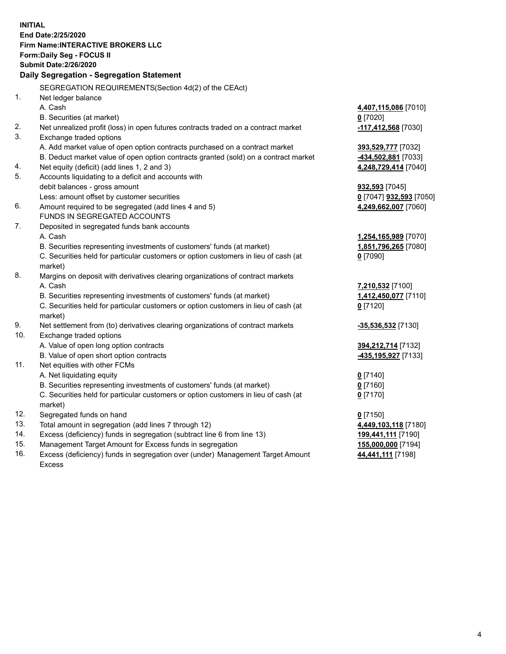**INITIAL End Date:2/25/2020 Firm Name:INTERACTIVE BROKERS LLC Form:Daily Seg - FOCUS II Submit Date:2/26/2020 Daily Segregation - Segregation Statement** SEGREGATION REQUIREMENTS(Section 4d(2) of the CEAct) 1. Net ledger balance A. Cash **4,407,115,086** [7010] B. Securities (at market) **0** [7020] 2. Net unrealized profit (loss) in open futures contracts traded on a contract market **-117,412,568** [7030] 3. Exchange traded options A. Add market value of open option contracts purchased on a contract market **393,529,777** [7032] B. Deduct market value of open option contracts granted (sold) on a contract market **-434,502,881** [7033] 4. Net equity (deficit) (add lines 1, 2 and 3) **4,248,729,414** [7040] 5. Accounts liquidating to a deficit and accounts with debit balances - gross amount **932,593** [7045] Less: amount offset by customer securities **0** [7047] **932,593** [7050] 6. Amount required to be segregated (add lines 4 and 5) **4,249,662,007** [7060] FUNDS IN SEGREGATED ACCOUNTS 7. Deposited in segregated funds bank accounts A. Cash **1,254,165,989** [7070] B. Securities representing investments of customers' funds (at market) **1,851,796,265** [7080] C. Securities held for particular customers or option customers in lieu of cash (at market) **0** [7090] 8. Margins on deposit with derivatives clearing organizations of contract markets A. Cash **7,210,532** [7100] B. Securities representing investments of customers' funds (at market) **1,412,450,077** [7110] C. Securities held for particular customers or option customers in lieu of cash (at market) **0** [7120] 9. Net settlement from (to) derivatives clearing organizations of contract markets **-35,536,532** [7130] 10. Exchange traded options A. Value of open long option contracts **394,212,714** [7132] B. Value of open short option contracts **-435,195,927** [7133] 11. Net equities with other FCMs A. Net liquidating equity **0** [7140] B. Securities representing investments of customers' funds (at market) **0** [7160] C. Securities held for particular customers or option customers in lieu of cash (at market) **0** [7170] 12. Segregated funds on hand **0** [7150] 13. Total amount in segregation (add lines 7 through 12) **4,449,103,118** [7180] 14. Excess (deficiency) funds in segregation (subtract line 6 from line 13) **199,441,111** [7190] 15. Management Target Amount for Excess funds in segregation **155,000,000** [7194] 16. Excess (deficiency) funds in segregation over (under) Management Target Amount Excess **44,441,111** [7198]